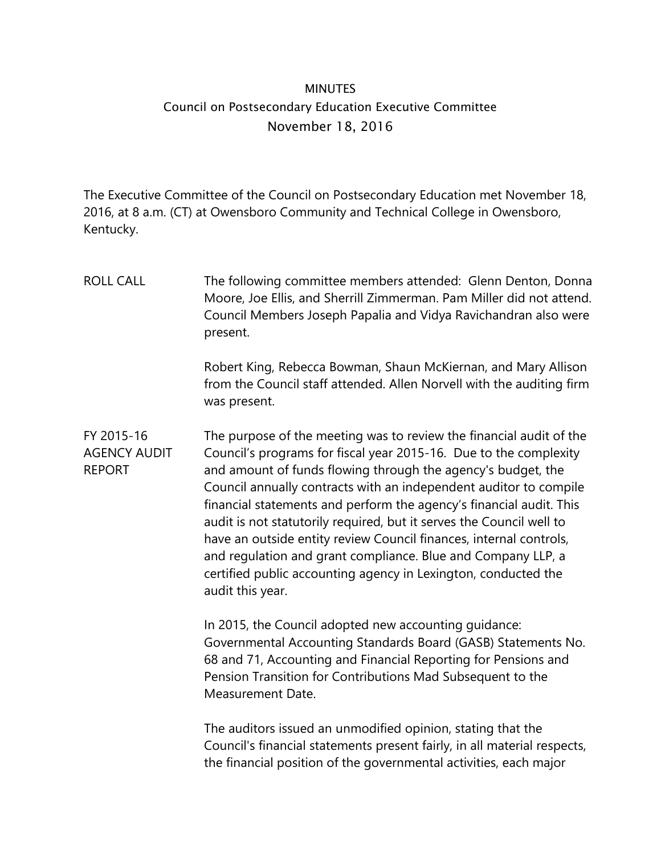## **MINUTES** Council on Postsecondary Education Executive Committee November 18, 2016

The Executive Committee of the Council on Postsecondary Education met November 18, 2016, at 8 a.m. (CT) at Owensboro Community and Technical College in Owensboro, Kentucky.

ROLL CALL The following committee members attended: Glenn Denton, Donna Moore, Joe Ellis, and Sherrill Zimmerman. Pam Miller did not attend. Council Members Joseph Papalia and Vidya Ravichandran also were present. Robert King, Rebecca Bowman, Shaun McKiernan, and Mary Allison from the Council staff attended. Allen Norvell with the auditing firm was present. FY 2015-16 AGENCY AUDIT REPORT The purpose of the meeting was to review the financial audit of the Council's programs for fiscal year 2015-16. Due to the complexity and amount of funds flowing through the agency's budget, the Council annually contracts with an independent auditor to compile financial statements and perform the agency's financial audit. This audit is not statutorily required, but it serves the Council well to have an outside entity review Council finances, internal controls, and regulation and grant compliance. Blue and Company LLP, a certified public accounting agency in Lexington, conducted the audit this year. In 2015, the Council adopted new accounting guidance: Governmental Accounting Standards Board (GASB) Statements No. 68 and 71, Accounting and Financial Reporting for Pensions and Pension Transition for Contributions Mad Subsequent to the Measurement Date. The auditors issued an unmodified opinion, stating that the Council's financial statements present fairly, in all material respects, the financial position of the governmental activities, each major